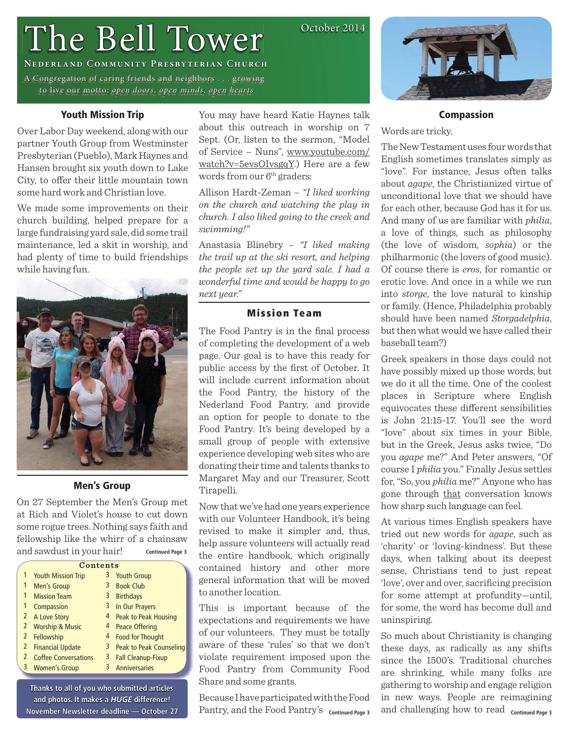# The Bell Tower

# **Nederland Community Presbyterian Church ederland**

A Congregation of caring friends and neighbors . . . growing to live our motto: open doors, open minds, open hearts

# **Youth Mission Trip**

Over Labor Day weekend, along with our partner Youth Group from Westminster Presbyterian (Pueblo), Mark Haynes and Hansen brought six youth down to Lake City, to offer their little mountain town some hard work and Christian love.

We made some improvements on their church building, helped prepare for a large fundraising yard sale, did some trail maintenance, led a skit in worship, and had plenty of time to build friendships while having fun.



# **Men's Group**

On 27 September the Men's Group met at Rich and Violet's house to cut down some rogue trees. Nothing says faith and fellowship like the whirr of a chainsaw and sawdust in your hair! **Continued Page 3**

|                | Contents                    |   |                           |  |  |
|----------------|-----------------------------|---|---------------------------|--|--|
|                | <b>Youth Mission Trip</b>   | 3 | <b>Youth Group</b>        |  |  |
| 1              | <b>Men's Group</b>          | 3 | <b>Book Club</b>          |  |  |
| 1              | <b>Mission Team</b>         | 3 | <b>Birthdays</b>          |  |  |
| 1              | Compassion                  | 3 | In Our Prayers            |  |  |
| 2              | A Love Story                | 4 | Peak to Peak Housing      |  |  |
| $\overline{2}$ | <b>Worship &amp; Music</b>  | 4 | <b>Peace Offering</b>     |  |  |
| $\mathbf{2}$   | Fellowship                  | 4 | <b>Food for Thought</b>   |  |  |
| 2              | <b>Financial Update</b>     | 3 | Peak to Peak Counseling   |  |  |
| $\overline{2}$ | <b>Coffee Conversations</b> | 3 | <b>Fall Cleanup-Fixup</b> |  |  |
| 3              | <b>Women's Group</b>        | 3 | <b>Anniversaries</b>      |  |  |
|                |                             |   |                           |  |  |

**Thanks to all of you who submitted articles hanks**  and photos. It makes a **HUGE** difference! **November Newsletter deadline — October 27**  You may have heard Katie Haynes talk about this outreach in worship on 7 Sept. (Or, listen to the sermon, "Model of Service – Nuns", www.youtube.com/ watch?v=5evsOIvsgqY.) Here are a few words from our 6<sup>th</sup> graders:

October 2014

Allison Hardt-Zeman – *"I liked working on the church and watching the play in church. I also liked going to the creek and swimming!"*

Anastasia Blinebry – *"I liked making the trail up at the ski resort, and helping the people set up the yard sale. I had a wonderful time and would be happy to go next year."* 

# **Mission Team**

The Food Pantry is in the final process of completing the development of a web page. Our goal is to have this ready for public access by the first of October. It will include current information about the Food Pantry, the history of the Nederland Food Pantry, and provide an option for people to donate to the Food Pantry. It's being developed by a small group of people with extensive experience developing web sites who are donating their time and talents thanks to Margaret May and our Treasurer, Scott Tirapelli.

Now that we've had one years experience with our Volunteer Handbook, it's being revised to make it simpler and, thus, help assure volunteers will actually read the entire handbook, which originally contained history and other more general information that will be moved to another location.

This is important because of the expectations and requirements we have of our volunteers. They must be totally aware of these 'rules' so that we don't violate requirement imposed upon the Food Pantry from Community Food Share and some grants.

Because I have participated with the Food Pantry, and the Food Pantry's continued Page 3



#### **Compassion**

Words are tricky.

The New Testament uses four words that English sometimes translates simply as "love". For instance, Jesus often talks about *agape*, the Christianized virtue of unconditional love that we should have for each other, because God has it for us. And many of us are familiar with *philia*, a love of things, such as philosophy (the love of wisdom, *sophia*) or the philharmonic (the lovers of good music). Of course there is *eros*, for romantic or erotic love. And once in a while we run into *storge*, the love natural to kinship or family. (Hence, Philadelphia probably should have been named *Storgadelphia*, but then what would we have called their baseball team?)

Greek speakers in those days could not have possibly mixed up those words, but we do it all the time. One of the coolest places in Scripture where English equivocates these different sensibilities is John 21:15-17. You'll see the word "love" about six times in your Bible, but in the Greek, Jesus asks twice, "Do you *agape* me?" And Peter answers, "Of course I *philia* you." Finally Jesus settles for, "So, you *philia* me?" Anyone who has gone through that conversation knows how sharp such language can feel.

At various times English speakers have tried out new words for *agape*, such as 'charity' or 'loving-kindness'. But these days, when talking about its deepest sense, Christians tend to just repeat 'love', over and over, sacrificing precision for some attempt at profundity—until, for some, the word has become dull and uninspiring.

and challenging how to read continued Page 3 So much about Christianity is changing these days, as radically as any shifts since the 1500's. Traditional churches are shrinking, while many folks are gathering to worship and engage religion in new ways. People are reimagining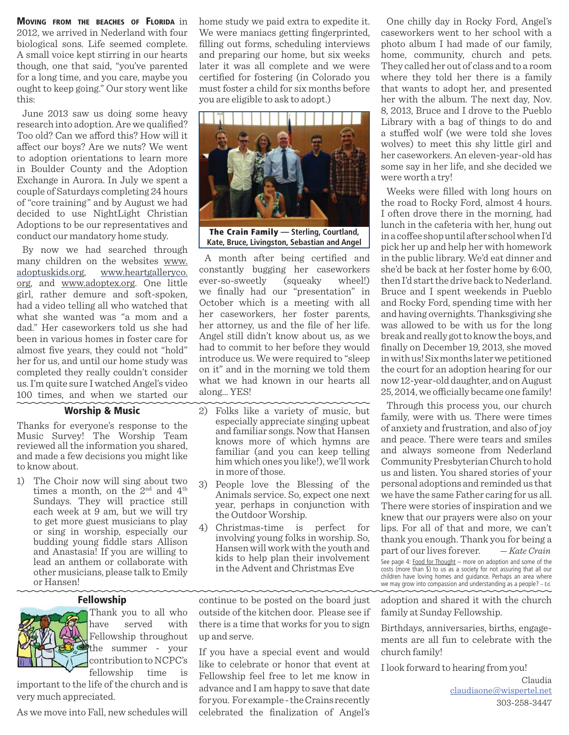**MOVING FROM THE BEACHES OF FLORIDA** in 2012, we arrived in Nederland with four biological sons. Life seemed complete. A small voice kept stirring in our hearts though, one that said, "you've parented for a long time, and you care, maybe you ought to keep going." Our story went like this:

June 2013 saw us doing some heavy research into adoption. Are we qualified? Too old? Can we afford this? How will it affect our boys? Are we nuts? We went to adoption orientations to learn more in Boulder County and the Adoption Exchange in Aurora. In July we spent a couple of Saturdays completing 24 hours of "core training" and by August we had decided to use NightLight Christian Adoptions to be our representatives and conduct our mandatory home study.

By now we had searched through many children on the websites www. adoptuskids.org, www.heartgalleryco. org, and www.adoptex.org. One little girl, rather demure and soft-spoken, had a video telling all who watched that what she wanted was "a mom and a dad." Her caseworkers told us she had been in various homes in foster care for almost five years, they could not "hold" her for us, and until our home study was completed they really couldn't consider us. I'm quite sure I watched Angel's video 100 times, and when we started our

#### **Worship & Music**

Thanks for everyone's response to the Music Survey! The Worship Team reviewed all the information you shared, and made a few decisions you might like to know about.

1) The Choir now will sing about two times a month, on the  $2<sup>nd</sup>$  and  $4<sup>th</sup>$ Sundays. They will practice still each week at 9 am, but we will try to get more guest musicians to play or sing in worship, especially our budding young fiddle stars Allison and Anastasia! If you are willing to lead an anthem or collaborate with other musicians, please talk to Emily or Hansen!

#### **Fellowship**



Thank you to all who have served with Fellowship throughout the summer - your contribution to NCPC's fellowship time is

important to the life of the church and is very much appreciated.

As we move into Fall, new schedules will

home study we paid extra to expedite it. We were maniacs getting fingerprinted, filling out forms, scheduling interviews and preparing our home, but six weeks later it was all complete and we were certified for fostering (in Colorado you must foster a child for six months before you are eligible to ask to adopt.)



**Kate, Bruce, Livingston, Sebastian and Angel**

A month after being certified and constantly bugging her caseworkers ever-so-sweetly (squeaky wheel!) we finally had our "presentation" in October which is a meeting with all her caseworkers, her foster parents, her attorney, us and the file of her life. Angel still didn't know about us, as we had to commit to her before they would introduce us. We were required to "sleep on it" and in the morning we told them what we had known in our hearts all along… YES!

- 2) Folks like a variety of music, but especially appreciate singing upbeat and familiar songs. Now that Hansen knows more of which hymns are familiar (and you can keep telling him which ones you like!), we'll work in more of those.
- 3) People love the Blessing of the Animals service. So, expect one next year, perhaps in conjunction with the Outdoor Worship.
- 4) Christmas-time is perfect for involving young folks in worship. So, Hansen will work with the youth and kids to help plan their involvement in the Advent and Christmas Eve

continue to be posted on the board just outside of the kitchen door. Please see if there is a time that works for you to sign up and serve.

If you have a special event and would like to celebrate or honor that event at Fellowship feel free to let me know in advance and I am happy to save that date for you. For example - the Crains recently celebrated the finalization of Angel's

One chilly day in Rocky Ford, Angel's caseworkers went to her school with a photo album I had made of our family, home, community, church and pets. They called her out of class and to a room where they told her there is a family that wants to adopt her, and presented her with the album. The next day, Nov. 8, 2013, Bruce and I drove to the Pueblo Library with a bag of things to do and a stuffed wolf (we were told she loves wolves) to meet this shy little girl and her caseworkers. An eleven-year-old has some say in her life, and she decided we were worth a try!

Weeks were filled with long hours on the road to Rocky Ford, almost 4 hours. I often drove there in the morning, had lunch in the cafeteria with her, hung out in a coffee shop until after school when I'd pick her up and help her with homework in the public library. We'd eat dinner and she'd be back at her foster home by 6:00, then I'd start the drive back to Nederland. Bruce and I spent weekends in Pueblo and Rocky Ford, spending time with her and having overnights. Thanksgiving she was allowed to be with us for the long break and really got to know the boys, and fi nally on December 19, 2013, she moved in with us! Six months later we petitioned the court for an adoption hearing for our now 12-year-old daughter, and on August 25, 2014, we officially became one family!

Through this process you, our church family, were with us. There were times of anxiety and frustration, and also of joy and peace. There were tears and smiles and always someone from Nederland Community Presbyterian Church to hold us and listen. You shared stories of your personal adoptions and reminded us that we have the same Father caring for us all. There were stories of inspiration and we knew that our prayers were also on your lips. For all of that and more, we can't thank you enough. Thank you for being a part of our lives forever. *— Kate Crain* See page 4: Food for Thought – more on adoption and some of the costs (more than \$) to us as a society for not assuring that all our children have loving homes and guidance. Perhaps an area where we may grow into compassion and understanding as a people? – Ed.

adoption and shared it with the church family at Sunday Fellowship.

Birthdays, anniversaries, births, engagements are all fun to celebrate with the church family!

I look forward to hearing from you!

 Claudia claudiaone@wispertel.net 303-258-3447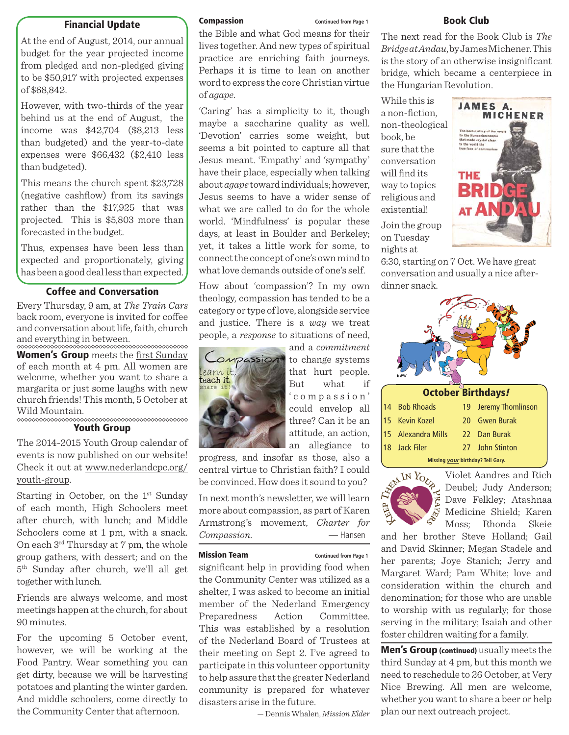### **Financial Update**

At the end of August, 2014, our annual budget for the year projected income from pledged and non-pledged giving to be \$50,917 with projected expenses of \$68,842.

However, with two-thirds of the year behind us at the end of August, the income was \$42,704 (\$8,213 less than budgeted) and the year-to-date expenses were \$66,432 (\$2,410 less than budgeted).

This means the church spent \$23,728 (negative cashflow) from its savings rather than the \$17,925 that was projected. This is \$5,803 more than forecasted in the budget.

Thus, expenses have been less than expected and proportionately, giving has been a good deal less than expected.

# **Coffee and Conversation**

Every Thursday, 9 am, at *The Train Cars* back room, everyone is invited for coffee and conversation about life, faith, church and everything in between.

**Women's Group** meets the first Sunday of each month at 4 pm. All women are welcome, whether you want to share a margarita or just some laughs with new church friends! This month, 5 October at Wild Mountain.

#### **Youth Group**

The 2014-2015 Youth Group calendar of events is now published on our website! Check it out at www.nederlandcpc.org/ youth-group.

Starting in October, on the  $1<sup>st</sup>$  Sunday of each month, High Schoolers meet after church, with lunch; and Middle Schoolers come at 1 pm, with a snack. On each 3rd Thursday at 7 pm, the whole group gathers, with dessert; and on the 5th Sunday after church, we'll all get together with lunch.

Friends are always welcome, and most meetings happen at the church, for about 90 minutes.

For the upcoming 5 October event, however, we will be working at the Food Pantry. Wear something you can get dirty, because we will be harvesting potatoes and planting the winter garden. And middle schoolers, come directly to the Community Center that afternoon.

the Bible and what God means for their lives together. And new types of spiritual practice are enriching faith journeys. Perhaps it is time to lean on another word to express the core Christian virtue of *agape*.

'Caring' has a simplicity to it, though maybe a saccharine quality as well. 'Devotion' carries some weight, but seems a bit pointed to capture all that Jesus meant. 'Empathy' and 'sympathy' have their place, especially when talking about *agape* toward individuals; however, Jesus seems to have a wider sense of what we are called to do for the whole world. 'Mindfulness' is popular these days, at least in Boulder and Berkeley; yet, it takes a little work for some, to connect the concept of one's own mind to what love demands outside of one's self.

How about 'compassion'? In my own theology, compassion has tended to be a category or type of love, alongside service and justice. There is a *way* we treat people, a *response* to situations of need,



and a *commitment* to change systems that hurt people. But what if ' c o m p a s s i o n ' could envelop all three? Can it be an attitude, an action, an allegiance to

progress, and insofar as those, also a central virtue to Christian faith? I could be convinced. How does it sound to you?

In next month's newsletter, we will learn more about compassion, as part of Karen Armstrong's movement, *Charter for Compassion*. — Hansen

#### **Mission Team Continued from Page 1**

significant help in providing food when the Community Center was utilized as a shelter, I was asked to become an initial member of the Nederland Emergency Preparedness Action Committee. This was established by a resolution of the Nederland Board of Trustees at their meeting on Sept 2. I've agreed to participate in this volunteer opportunity to help assure that the greater Nederland community is prepared for whatever disasters arise in the future.

— Dennis Whalen, *Mission Elder*

#### **Compassion Continued from Page 1 Book Club**

The next read for the Book Club is *The Bridge at Andau*, by James Michener. This is the story of an otherwise insignificant bridge, which became a centerpiece in the Hungarian Revolution.

While this is a non-fiction. non-theological book, be sure that the conversation will find its way to topics religious and existential! Join the group on Tuesday nights at



6:30, starting on 7 Oct. We have great conversation and usually a nice afterdinner snack.

| <b>October Birthdays!</b> |                    |    |                   |  |  |
|---------------------------|--------------------|----|-------------------|--|--|
| 14                        | <b>Bob Rhoads</b>  | 19 | Jeremy Thomlinson |  |  |
| 15                        | <b>Kevin Kozel</b> |    | 20 Gwen Burak     |  |  |
| 15                        | Alexandra Mills    |    | 22 Dan Burak      |  |  |
|                           | 18 Jack Filer      |    | 27 John Stinton   |  |  |

**Missing** *your* **birthday? Tell Gary.**



Violet Aandres and Rich Deubel; Judy Anderson; Dave Felkley; Atashnaa Medicine Shield; Karen Moss; Rhonda Skeie

and her brother Steve Holland; Gail and David Skinner; Megan Stadele and her parents; Joye Stanich; Jerry and Margaret Ward; Pam White; love and consideration within the church and denomination; for those who are unable to worship with us regularly; for those serving in the military; Isaiah and other foster children waiting for a family.

**Men's Group (continued)** usually meets the third Sunday at 4 pm, but this month we need to reschedule to 26 October, at Very Nice Brewing. All men are welcome, whether you want to share a beer or help plan our next outreach project.